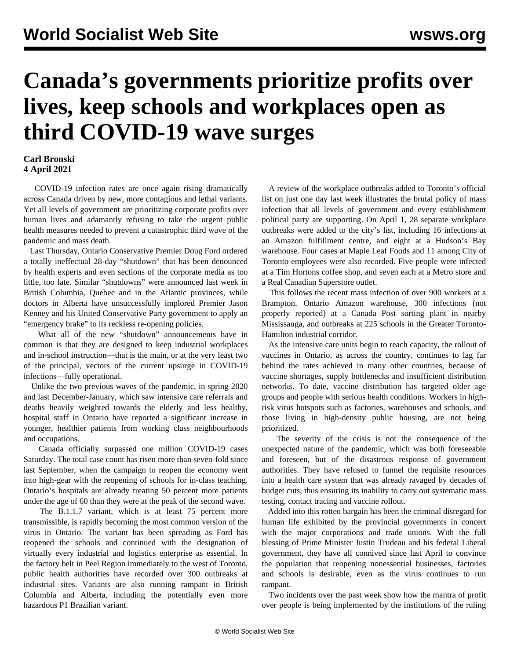## **Canada's governments prioritize profits over lives, keep schools and workplaces open as third COVID-19 wave surges**

## **Carl Bronski 4 April 2021**

 COVID-19 infection rates are once again rising dramatically across Canada driven by new, more contagious and lethal variants. Yet all levels of government are prioritizing corporate profits over human lives and adamantly refusing to take the urgent public health measures needed to prevent a catastrophic third wave of the pandemic and mass death.

 Last Thursday, Ontario Conservative Premier Doug Ford ordered a totally ineffectual 28-day "shutdown" that has been denounced by health experts and even sections of the corporate media as too little, too late. Similar "shutdowns" were announced last week in British Columbia, Quebec and in the Atlantic provinces, while doctors in Alberta have unsuccessfully implored Premier Jason Kenney and his United Conservative Party government to apply an "emergency brake" to its reckless re-opening policies.

 What all of the new "shutdown" announcements have in common is that they are designed to keep industrial workplaces and in-school instruction—that is the main, or at the very least two of the principal, vectors of the current upsurge in COVID-19 infections—fully operational.

 Unlike the two previous waves of the pandemic, in spring 2020 and last December-January, which saw intensive care referrals and deaths heavily weighted towards the elderly and less healthy, hospital staff in Ontario have reported a significant increase in younger, healthier patients from working class neighbourhoods and occupations.

 Canada officially surpassed one million COVID-19 cases Saturday. The total case count has risen more than seven-fold since last September, when the campaign to reopen the economy went into high-gear with the reopening of schools for in-class teaching. Ontario's hospitals are already treating 50 percent more patients under the age of 60 than they were at the peak of the second wave.

 The B.1.1.7 variant, which is at least 75 percent more transmissible, is rapidly becoming the most common version of the virus in Ontario. The variant has been spreading as Ford has reopened the schools and continued with the designation of virtually every industrial and logistics enterprise as essential. In the factory belt in Peel Region immediately to the west of Toronto, public health authorities have recorded over 300 outbreaks at industrial sites. Variants are also running rampant in British Columbia and Alberta, including the potentially even more hazardous P1 Brazilian variant.

 A review of the workplace outbreaks added to Toronto's official list on just one day last week illustrates the brutal policy of mass infection that all levels of government and every establishment political party are supporting. On April 1, 28 separate workplace outbreaks were added to the city's list, including 16 infections at an Amazon fulfillment centre, and eight at a Hudson's Bay warehouse. Four cases at Maple Leaf Foods and 11 among City of Toronto employees were also recorded. Five people were infected at a Tim Hortons coffee shop, and seven each at a Metro store and a Real Canadian Superstore outlet.

 This follows the recent mass infection of over 900 workers at a Brampton, Ontario Amazon warehouse, 300 infections (not properly reported) at a Canada Post sorting plant in nearby Mississauga, and outbreaks at 225 schools in the Greater Toronto-Hamilton industrial corridor.

 As the intensive care units begin to reach capacity, the rollout of vaccines in Ontario, as across the country, continues to lag far behind the rates achieved in many other countries, because of vaccine shortages, supply bottlenecks and insufficient distribution networks. To date, vaccine distribution has targeted older age groups and people with serious health conditions. Workers in highrisk virus hotspots such as factories, warehouses and schools, and those living in high-density public housing, are not being prioritized.

 The severity of the crisis is not the consequence of the unexpected nature of the pandemic, which was both foreseeable and foreseen, but of the disastrous response of government authorities. They have refused to funnel the requisite resources into a health care system that was already ravaged by decades of budget cuts, thus ensuring its inability to carry out systematic mass testing, contact tracing and vaccine rollout.

 Added into this rotten bargain has been the criminal disregard for human life exhibited by the provincial governments in concert with the major corporations and trade unions. With the full blessing of Prime Minister Justin Trudeau and his federal Liberal government, they have all connived since last April to convince the population that reopening nonessential businesses, factories and schools is desirable, even as the virus continues to run rampant.

 Two incidents over the past week show how the mantra of profit over people is being implemented by the institutions of the ruling